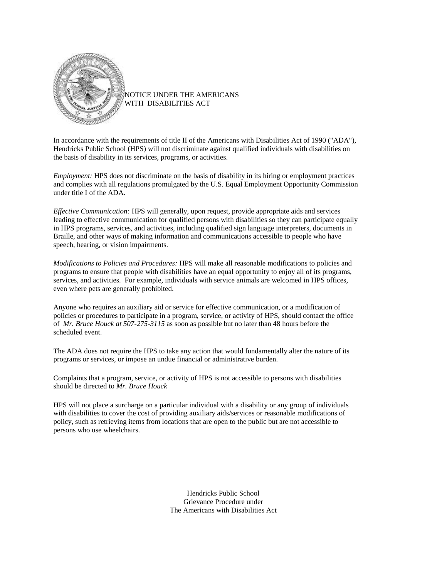

NOTICE UNDER THE AMERICANS WITH DISABILITIES ACT

In accordance with the requirements of title II of the Americans with Disabilities Act of 1990 ("ADA"), Hendricks Public School (HPS) will not discriminate against qualified individuals with disabilities on the basis of disability in its services, programs, or activities.

*Employment:* HPS does not discriminate on the basis of disability in its hiring or employment practices and complies with all regulations promulgated by the U.S. Equal Employment Opportunity Commission under title I of the ADA.

*Effective Communication:* HPS will generally, upon request, provide appropriate aids and services leading to effective communication for qualified persons with disabilities so they can participate equally in HPS programs, services, and activities, including qualified sign language interpreters, documents in Braille, and other ways of making information and communications accessible to people who have speech, hearing, or vision impairments.

*Modifications to Policies and Procedures:* HPS will make all reasonable modifications to policies and programs to ensure that people with disabilities have an equal opportunity to enjoy all of its programs, services, and activities. For example, individuals with service animals are welcomed in HPS offices, even where pets are generally prohibited.

Anyone who requires an auxiliary aid or service for effective communication, or a modification of policies or procedures to participate in a program, service, or activity of HPS, should contact the office of *Mr. Bruce Houck at 507-275-3115* as soon as possible but no later than 48 hours before the scheduled event.

The ADA does not require the HPS to take any action that would fundamentally alter the nature of its programs or services, or impose an undue financial or administrative burden.

Complaints that a program, service, or activity of HPS is not accessible to persons with disabilities should be directed to *Mr. Bruce Houck*

HPS will not place a surcharge on a particular individual with a disability or any group of individuals with disabilities to cover the cost of providing auxiliary aids/services or reasonable modifications of policy, such as retrieving items from locations that are open to the public but are not accessible to persons who use wheelchairs.

> Hendricks Public School Grievance Procedure under The Americans with Disabilities Act